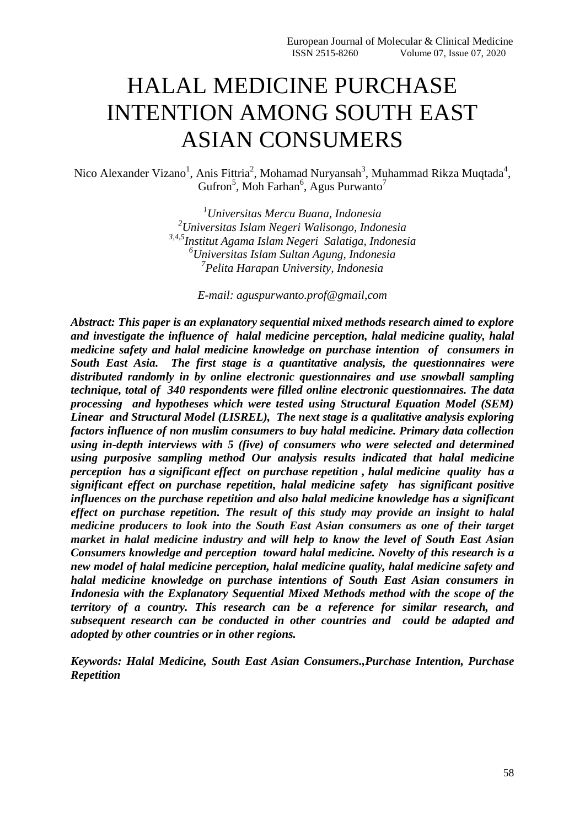# HALAL MEDICINE PURCHASE INTENTION AMONG SOUTH EAST ASIAN CONSUMERS

Nico Alexander Vizano<sup>1</sup>, Anis Fittria<sup>2</sup>, Mohamad Nuryansah<sup>3</sup>, Muhammad Rikza Muqtada<sup>4</sup>, Gufron<sup>5</sup>, Moh Farhan<sup>6</sup>, Agus Purwanto<sup>7</sup>

> *Universitas Mercu Buana, Indonesia Universitas Islam Negeri Walisongo, Indonesia 3,4,5Institut Agama Islam Negeri Salatiga, Indonesia Universitas Islam Sultan Agung, Indonesia Pelita Harapan University, Indonesia*

> > *E-mail: [aguspurwanto.prof@gmail,com](mailto:aguspurwanto.prof@gmail.com)*

*Abstract: This paper is an explanatory sequential mixed methods research aimed to explore and investigate the influence of halal medicine perception, halal medicine quality, halal medicine safety and halal medicine knowledge on purchase intention of consumers in South East Asia. The first stage is a quantitative analysis, the questionnaires were distributed randomly in by online electronic questionnaires and use snowball sampling technique, total of 340 respondents were filled online electronic questionnaires. The data processing and hypotheses which were tested using Structural Equation Model (SEM) Linear and Structural Model (LISREL), The next stage is a qualitative analysis exploring factors influence of non muslim consumers to buy halal medicine. Primary data collection using in-depth interviews with 5 (five) of consumers who were selected and determined using purposive sampling method Our analysis results indicated that halal medicine perception has a significant effect on purchase repetition , halal medicine quality has a significant effect on purchase repetition, halal medicine safety has significant positive influences on the purchase repetition and also halal medicine knowledge has a significant effect on purchase repetition. The result of this study may provide an insight to halal medicine producers to look into the South East Asian consumers as one of their target market in halal medicine industry and will help to know the level of South East Asian Consumers knowledge and perception toward halal medicine. Novelty of this research is a new model of halal medicine perception, halal medicine quality, halal medicine safety and halal medicine knowledge on purchase intentions of South East Asian consumers in Indonesia with the Explanatory Sequential Mixed Methods method with the scope of the territory of a country. This research can be a reference for similar research, and subsequent research can be conducted in other countries and could be adapted and adopted by other countries or in other regions.*

*Keywords: Halal Medicine, South East Asian Consumers.,Purchase Intention, Purchase Repetition*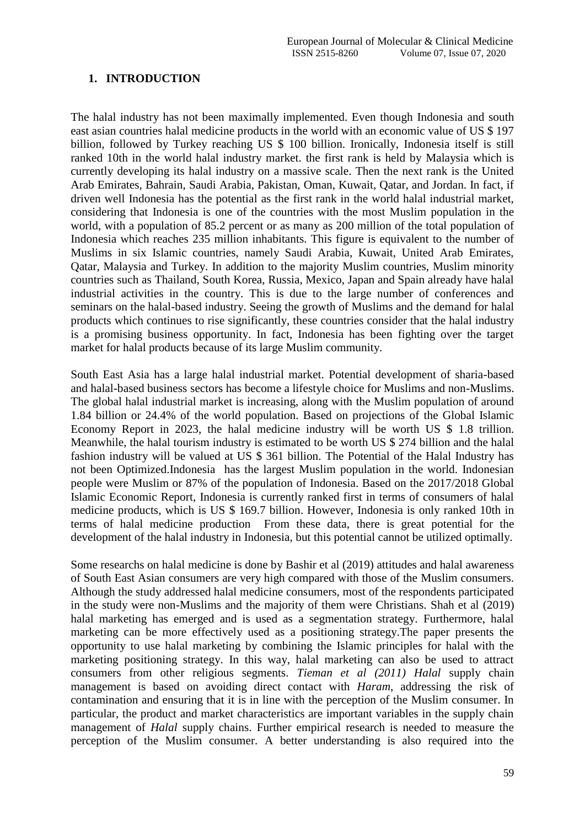## **1. INTRODUCTION**

The halal industry has not been maximally implemented. Even though Indonesia and south east asian countries halal medicine products in the world with an economic value of US \$ 197 billion, followed by Turkey reaching US \$ 100 billion. Ironically, Indonesia itself is still ranked 10th in the world halal industry market. the first rank is held by Malaysia which is currently developing its halal industry on a massive scale. Then the next rank is the United Arab Emirates, Bahrain, Saudi Arabia, Pakistan, Oman, Kuwait, Qatar, and Jordan. In fact, if driven well Indonesia has the potential as the first rank in the world halal industrial market, considering that Indonesia is one of the countries with the most Muslim population in the world, with a population of 85.2 percent or as many as 200 million of the total population of Indonesia which reaches 235 million inhabitants. This figure is equivalent to the number of Muslims in six Islamic countries, namely Saudi Arabia, Kuwait, United Arab Emirates, Qatar, Malaysia and Turkey. In addition to the majority Muslim countries, Muslim minority countries such as Thailand, South Korea, Russia, Mexico, Japan and Spain already have halal industrial activities in the country. This is due to the large number of conferences and seminars on the halal-based industry. Seeing the growth of Muslims and the demand for halal products which continues to rise significantly, these countries consider that the halal industry is a promising business opportunity. In fact, Indonesia has been fighting over the target market for halal products because of its large Muslim community.

South East Asia has a large halal industrial market. Potential development of sharia-based and halal-based business sectors has become a lifestyle choice for Muslims and non-Muslims. The global halal industrial market is increasing, along with the Muslim population of around 1.84 billion or 24.4% of the world population. Based on projections of the Global Islamic Economy Report in 2023, the halal medicine industry will be worth US \$ 1.8 trillion. Meanwhile, the halal tourism industry is estimated to be worth US \$ 274 billion and the halal fashion industry will be valued at US \$ 361 billion. The Potential of the Halal Industry has not been Optimized.Indonesia has the largest Muslim population in the world. Indonesian people were Muslim or 87% of the population of Indonesia. Based on the 2017/2018 Global Islamic Economic Report, Indonesia is currently ranked first in terms of consumers of halal medicine products, which is US \$ 169.7 billion. However, Indonesia is only ranked 10th in terms of halal medicine production From these data, there is great potential for the development of the halal industry in Indonesia, but this potential cannot be utilized optimally.

Some researchs on halal medicine is done by Bashir et al (2019) attitudes and halal awareness of South East Asian consumers are very high compared with those of the Muslim consumers. Although the study addressed halal medicine consumers, most of the respondents participated in the study were non-Muslims and the majority of them were Christians. Shah et al (2019) halal marketing has emerged and is used as a segmentation strategy. Furthermore, halal marketing can be more effectively used as a positioning strategy.The paper presents the opportunity to use halal marketing by combining the Islamic principles for halal with the marketing positioning strategy. In this way, halal marketing can also be used to attract consumers from other religious segments. *Tieman et al (2011) Halal* supply chain management is based on avoiding direct contact with *Haram*, addressing the risk of contamination and ensuring that it is in line with the perception of the Muslim consumer. In particular, the product and market characteristics are important variables in the supply chain management of *Halal* supply chains. Further empirical research is needed to measure the perception of the Muslim consumer. A better understanding is also required into the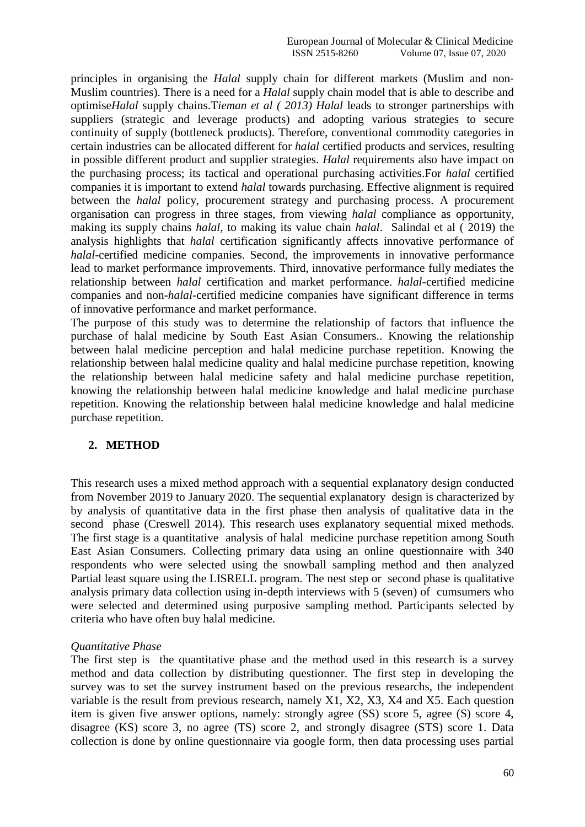principles in organising the *Halal* supply chain for different markets (Muslim and non-Muslim countries). There is a need for a *Halal* supply chain model that is able to describe and optimise*Halal* supply chains.T*ieman et al ( 2013) Halal* leads to stronger partnerships with suppliers (strategic and leverage products) and adopting various strategies to secure continuity of supply (bottleneck products). Therefore, conventional commodity categories in certain industries can be allocated different for *halal* certified products and services, resulting in possible different product and supplier strategies. *Halal* requirements also have impact on the purchasing process; its tactical and operational purchasing activities.For *halal* certified companies it is important to extend *halal* towards purchasing. Effective alignment is required between the *halal* policy, procurement strategy and purchasing process. A procurement organisation can progress in three stages, from viewing *halal* compliance as opportunity, making its supply chains *halal*, to making its value chain *halal*. Salindal et al ( 2019) the analysis highlights that *halal* certification significantly affects innovative performance of *halal*-certified medicine companies. Second, the improvements in innovative performance lead to market performance improvements. Third, innovative performance fully mediates the relationship between *halal* certification and market performance. *halal*-certified medicine companies and non-*halal*-certified medicine companies have significant difference in terms of innovative performance and market performance.

The purpose of this study was to determine the relationship of factors that influence the purchase of halal medicine by South East Asian Consumers.. Knowing the relationship between halal medicine perception and halal medicine purchase repetition. Knowing the relationship between halal medicine quality and halal medicine purchase repetition, knowing the relationship between halal medicine safety and halal medicine purchase repetition, knowing the relationship between halal medicine knowledge and halal medicine purchase repetition. Knowing the relationship between halal medicine knowledge and halal medicine purchase repetition.

# **2. METHOD**

This research uses a mixed method approach with a sequential explanatory design conducted from November 2019 to January 2020. The sequential explanatory design is characterized by by analysis of quantitative data in the first phase then analysis of qualitative data in the second phase (Creswell 2014). This research uses explanatory sequential mixed methods. The first stage is a quantitative analysis of halal medicine purchase repetition among South East Asian Consumers. Collecting primary data using an online questionnaire with 340 respondents who were selected using the snowball sampling method and then analyzed Partial least square using the LISRELL program. The nest step or second phase is qualitative analysis primary data collection using in-depth interviews with 5 (seven) of cumsumers who were selected and determined using purposive sampling method. Participants selected by criteria who have often buy halal medicine.

#### *Quantitative Phase*

The first step is the quantitative phase and the method used in this research is a survey method and data collection by distributing questionner. The first step in developing the survey was to set the survey instrument based on the previous researchs, the independent variable is the result from previous research, namely X1, X2, X3, X4 and X5. Each question item is given five answer options, namely: strongly agree (SS) score 5, agree (S) score 4, disagree (KS) score 3, no agree (TS) score 2, and strongly disagree (STS) score 1. Data collection is done by online questionnaire via google form, then data processing uses partial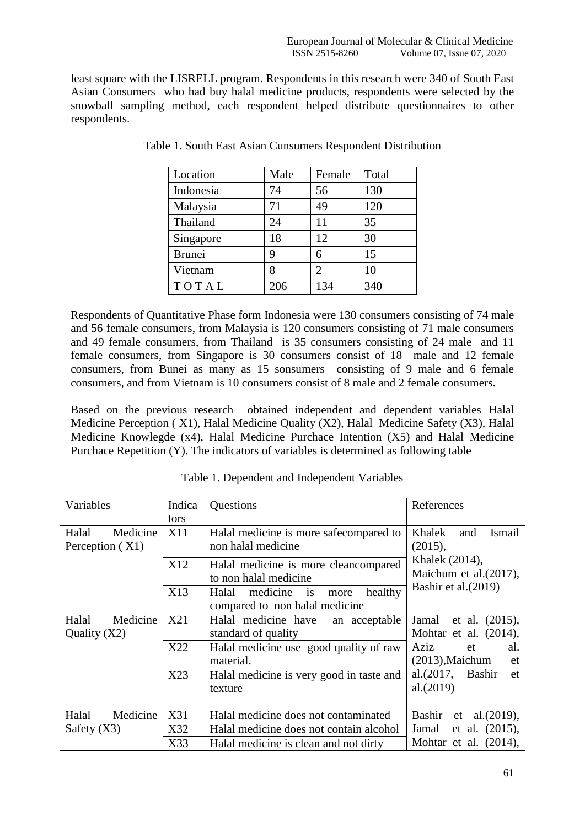least square with the LISRELL program. Respondents in this research were 340 of South East Asian Consumers who had buy halal medicine products, respondents were selected by the snowball sampling method, each respondent helped distribute questionnaires to other respondents.

| Location      | Male | Female | Total |
|---------------|------|--------|-------|
| Indonesia     | 74   | 56     | 130   |
| Malaysia      | 71   | 49     | 120   |
| Thailand      | 24   | 11     | 35    |
| Singapore     | 18   | 12     | 30    |
| <b>Brunei</b> | 9    | 6      | 15    |
| Vietnam       | 8    | 2      | 10    |
| TOTAL         | 206  | 134    | 340   |

Table 1. South East Asian Cunsumers Respondent Distribution

Respondents of Quantitative Phase form Indonesia were 130 consumers consisting of 74 male and 56 female consumers, from Malaysia is 120 consumers consisting of 71 male consumers and 49 female consumers, from Thailand is 35 consumers consisting of 24 male and 11 female consumers, from Singapore is 30 consumers consist of 18 male and 12 female consumers, from Bunei as many as 15 sonsumers consisting of 9 male and 6 female consumers, and from Vietnam is 10 consumers consist of 8 male and 2 female consumers.

Based on the previous research obtained independent and dependent variables Halal Medicine Perception ( X1), Halal Medicine Quality (X2), Halal Medicine Safety (X3), Halal Medicine Knowlegde (x4), Halal Medicine Purchace Intention (X5) and Halal Medicine Purchace Repetition (Y). The indicators of variables is determined as following table

| Variables         | Indica | Questions                                              | References                     |
|-------------------|--------|--------------------------------------------------------|--------------------------------|
|                   | tors   |                                                        |                                |
| Medicine<br>Halal | X11    | Halal medicine is more safecompared to                 | Khalek<br>Ismail<br>and        |
| Perception $(X1)$ |        | non halal medicine                                     | (2015),                        |
|                   | X12    | Halal medicine is more clean compared                  | Khalek (2014),                 |
|                   |        | to non halal medicine                                  | Maichum et al. (2017),         |
|                   | X13    | medicine<br>Halal<br>healthy<br>$\overline{1}$<br>more | Bashir et al. (2019)           |
|                   |        | compared to non halal medicine                         |                                |
| Medicine<br>Halal | X21    | Halal medicine have<br>an acceptable                   | Jamal et al. $(2015)$ ,        |
| Quality $(X2)$    |        | standard of quality                                    | Mohtar et al. $(2014)$ ,       |
|                   | X22    | Halal medicine use good quality of raw                 | Aziz<br>al.<br>et              |
|                   |        | material.                                              | $(2013)$ , Maichum<br>et       |
|                   | X23    | Halal medicine is very good in taste and               | al. $(2017,$ Bashir<br>et      |
|                   |        | texture                                                | al.(2019)                      |
|                   |        |                                                        |                                |
| Medicine<br>Halal | X31    | Halal medicine does not contaminated                   | Bashir<br>al. $(2019)$ ,<br>et |
| Safety $(X3)$     | X32    | Halal medicine does not contain alcohol                | et al. $(2015)$ ,<br>Jamal     |
|                   | X33    | Halal medicine is clean and not dirty                  | Mohtar et al. (2014),          |

Table 1. Dependent and Independent Variables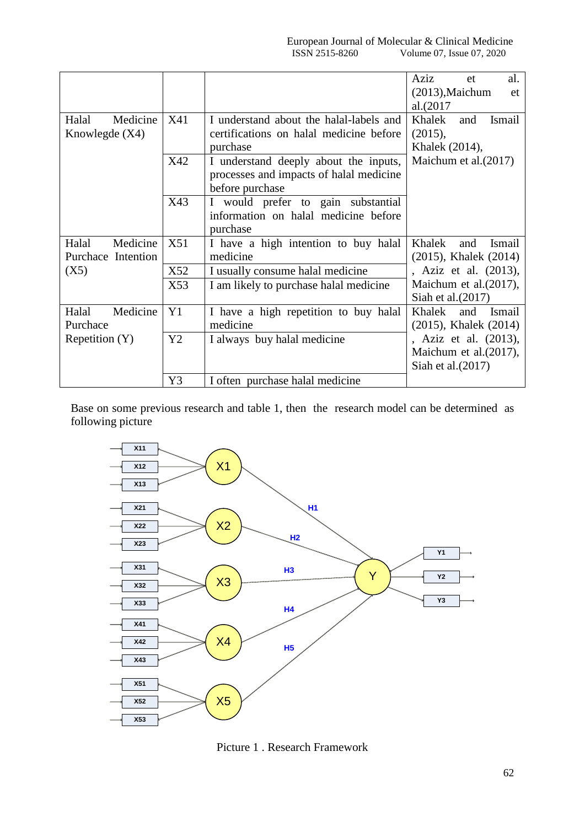|     |                                         | Aziz<br>al.<br>et              |
|-----|-----------------------------------------|--------------------------------|
|     |                                         | $(2013)$ , Maichum<br>et       |
|     |                                         | al.(2017                       |
| X41 | I understand about the halal-labels and | Khalek<br>Ismail<br>and        |
|     | certifications on halal medicine before | (2015),                        |
|     | purchase                                | Khalek (2014),                 |
| X42 | I understand deeply about the inputs,   | Maichum et al. (2017)          |
|     | processes and impacts of halal medicine |                                |
|     | before purchase                         |                                |
| X43 | I would prefer to gain substantial      |                                |
|     | information on halal medicine before    |                                |
|     | purchase                                |                                |
| X51 | I have a high intention to buy halal    | Khalek<br>and<br><b>Ismail</b> |
|     | medicine                                | (2015), Khalek (2014)          |
| X52 | I usually consume halal medicine        | , Aziz et al. (2013),          |
| X53 | I am likely to purchase halal medicine  | Maichum et al. (2017),         |
|     |                                         | Siah et al. (2017)             |
| Y1  | I have a high repetition to buy halal   | Khalek<br>and<br><b>Ismail</b> |
|     | medicine                                | (2015), Khalek (2014)          |
| Y2  | I always buy halal medicine             | , Aziz et al. (2013),          |
|     |                                         | Maichum et al. (2017),         |
|     |                                         | Siah et al. $(2017)$           |
| Y3  | I often purchase halal medicine         |                                |
|     |                                         |                                |

Base on some previous research and table 1, then the research model can be determined as following picture



Picture 1 . Research Framework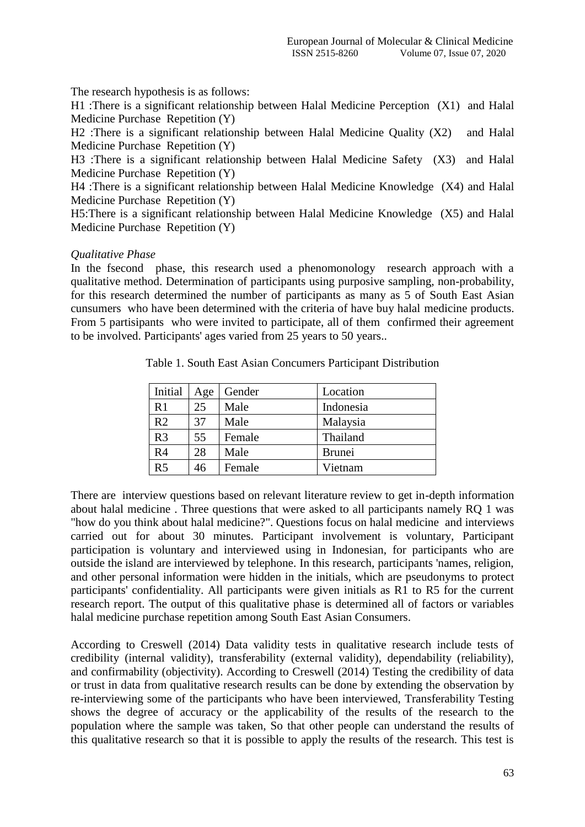The research hypothesis is as follows:

H1 :There is a significant relationship between Halal Medicine Perception (X1) and Halal Medicine Purchase Repetition (Y)

H2 :There is a significant relationship between Halal Medicine Quality (X2) and Halal Medicine Purchase Repetition (Y)

H3 :There is a significant relationship between Halal Medicine Safety (X3) and Halal Medicine Purchase Repetition (Y)

H4 :There is a significant relationship between Halal Medicine Knowledge (X4) and Halal Medicine Purchase Repetition (Y)

H5:There is a significant relationship between Halal Medicine Knowledge (X5) and Halal Medicine Purchase Repetition (Y)

#### *Qualitative Phase*

In the fsecond phase, this research used a phenomonology research approach with a qualitative method. Determination of participants using purposive sampling, non-probability, for this research determined the number of participants as many as 5 of South East Asian cunsumers who have been determined with the criteria of have buy halal medicine products. From 5 partisipants who were invited to participate, all of them confirmed their agreement to be involved. Participants' ages varied from 25 years to 50 years..

| Initial        | Age | Gender | Location      |
|----------------|-----|--------|---------------|
| R1             | 25  | Male   | Indonesia     |
| R <sub>2</sub> | 37  | Male   | Malaysia      |
| R <sub>3</sub> | 55  | Female | Thailand      |
| R <sub>4</sub> | 28  | Male   | <b>Brunei</b> |
| R <sub>5</sub> | 46  | Female | Vietnam       |

Table 1. South East Asian Concumers Participant Distribution

There are interview questions based on relevant literature review to get in-depth information about halal medicine . Three questions that were asked to all participants namely RQ 1 was "how do you think about halal medicine?". Questions focus on halal medicine and interviews carried out for about 30 minutes. Participant involvement is voluntary, Participant participation is voluntary and interviewed using in Indonesian, for participants who are outside the island are interviewed by telephone. In this research, participants 'names, religion, and other personal information were hidden in the initials, which are pseudonyms to protect participants' confidentiality. All participants were given initials as R1 to R5 for the current research report. The output of this qualitative phase is determined all of factors or variables halal medicine purchase repetition among South East Asian Consumers.

According to Creswell (2014) Data validity tests in qualitative research include tests of credibility (internal validity), transferability (external validity), dependability (reliability), and confirmability (objectivity). According to Creswell (2014) Testing the credibility of data or trust in data from qualitative research results can be done by extending the observation by re-interviewing some of the participants who have been interviewed, Transferability Testing shows the degree of accuracy or the applicability of the results of the research to the population where the sample was taken, So that other people can understand the results of this qualitative research so that it is possible to apply the results of the research. This test is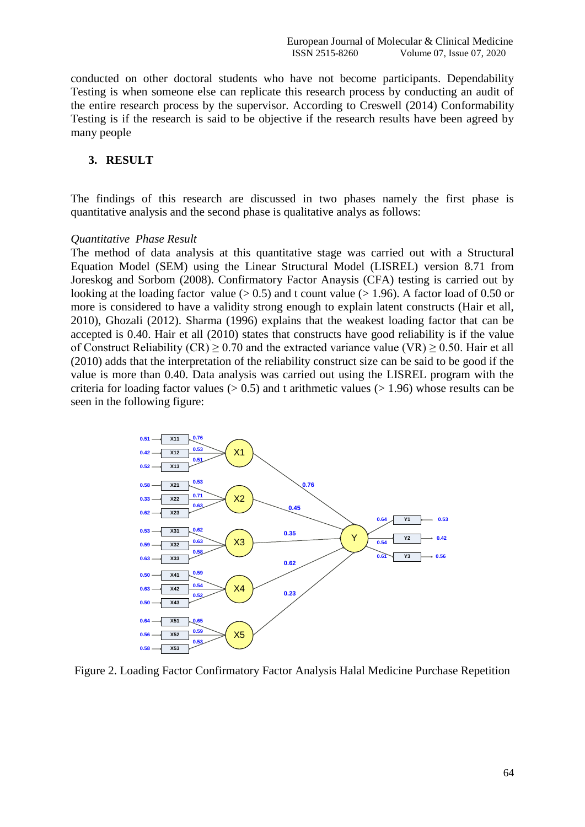conducted on other doctoral students who have not become participants. Dependability Testing is when someone else can replicate this research process by conducting an audit of the entire research process by the supervisor. According to Creswell (2014) Conformability Testing is if the research is said to be objective if the research results have been agreed by many people

#### **3. RESULT**

The findings of this research are discussed in two phases namely the first phase is quantitative analysis and the second phase is qualitative analys as follows:

#### *Quantitative Phase Result*

The method of data analysis at this quantitative stage was carried out with a Structural Equation Model (SEM) using the Linear Structural Model (LISREL) version 8.71 from Joreskog and Sorbom (2008). Confirmatory Factor Anaysis (CFA) testing is carried out by looking at the loading factor value ( $> 0.5$ ) and t count value ( $> 1.96$ ). A factor load of 0.50 or more is considered to have a validity strong enough to explain latent constructs (Hair et all, 2010), Ghozali (2012). Sharma (1996) explains that the weakest loading factor that can be accepted is 0.40. Hair et all (2010) states that constructs have good reliability is if the value of Construct Reliability (CR)  $\geq$  0.70 and the extracted variance value (VR)  $\geq$  0.50. Hair et all (2010) adds that the interpretation of the reliability construct size can be said to be good if the value is more than 0.40. Data analysis was carried out using the LISREL program with the criteria for loading factor values  $(> 0.5)$  and t arithmetic values  $(> 1.96)$  whose results can be seen in the following figure:



Figure 2. Loading Factor Confirmatory Factor Analysis Halal Medicine Purchase Repetition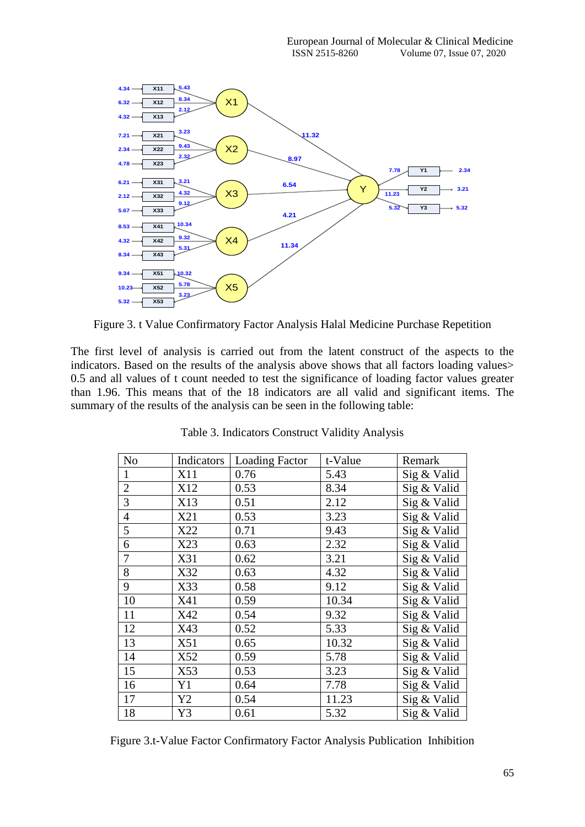

Figure 3. t Value Confirmatory Factor Analysis Halal Medicine Purchase Repetition

The first level of analysis is carried out from the latent construct of the aspects to the indicators. Based on the results of the analysis above shows that all factors loading values 0.5 and all values of t count needed to test the significance of loading factor values greater than 1.96. This means that of the 18 indicators are all valid and significant items. The summary of the results of the analysis can be seen in the following table:

| N <sub>0</sub> | Indicators | <b>Loading Factor</b> | t-Value | Remark      |
|----------------|------------|-----------------------|---------|-------------|
| 1              | X11        | 0.76                  | 5.43    | Sig & Valid |
| $\overline{2}$ | X12        | 0.53                  | 8.34    | Sig & Valid |
| 3              | X13        | 0.51                  | 2.12    | Sig & Valid |
| $\overline{4}$ | X21        | 0.53                  | 3.23    | Sig & Valid |
| 5              | X22        | 0.71                  | 9.43    | Sig & Valid |
| 6              | X23        | 0.63                  | 2.32    | Sig & Valid |
| 7              | X31        | 0.62                  | 3.21    | Sig & Valid |
| 8              | X32        | 0.63                  | 4.32    | Sig & Valid |
| 9              | X33        | 0.58                  | 9.12    | Sig & Valid |
| 10             | X41        | 0.59                  | 10.34   | Sig & Valid |
| 11             | X42        | 0.54                  | 9.32    | Sig & Valid |
| 12             | X43        | 0.52                  | 5.33    | Sig & Valid |
| 13             | X51        | 0.65                  | 10.32   | Sig & Valid |
| 14             | X52        | 0.59                  | 5.78    | Sig & Valid |
| 15             | X53        | 0.53                  | 3.23    | Sig & Valid |
| 16             | Y1         | 0.64                  | 7.78    | Sig & Valid |
| 17             | Y2         | 0.54                  | 11.23   | Sig & Valid |
| 18             | Y3         | 0.61                  | 5.32    | Sig & Valid |

Table 3. Indicators Construct Validity Analysis

Figure 3.t-Value Factor Confirmatory Factor Analysis Publication Inhibition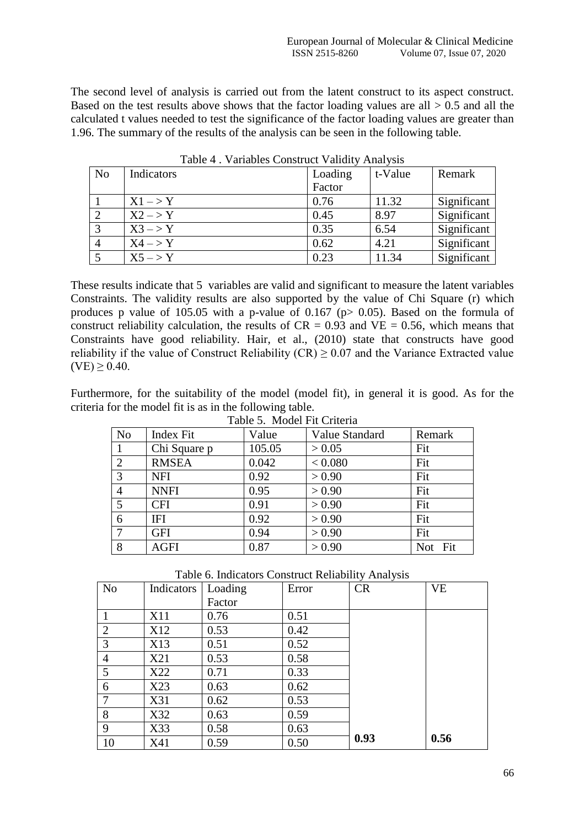The second level of analysis is carried out from the latent construct to its aspect construct. Based on the test results above shows that the factor loading values are all  $> 0.5$  and all the calculated t values needed to test the significance of the factor loading values are greater than 1.96. The summary of the results of the analysis can be seen in the following table.

| N <sub>0</sub> | Indicators         | Loading | t-Value | Remark      |
|----------------|--------------------|---------|---------|-------------|
|                |                    | Factor  |         |             |
|                | $X1 - > Y$         | 0.76    | 11.32   | Significant |
| 2              | $X2 \rightarrow Y$ | 0.45    | 8.97    | Significant |
| 3              | $X3->Y$            | 0.35    | 6.54    | Significant |
|                | $X4->Y$            | 0.62    | 4.21    | Significant |
|                | $X5->Y$            | 0.23    | 11.34   | Significant |

Table 4 . Variables Construct Validity Analysis

These results indicate that 5 variables are valid and significant to measure the latent variables Constraints. The validity results are also supported by the value of Chi Square (r) which produces p value of 105.05 with a p-value of 0.167 ( $p$  > 0.05). Based on the formula of construct reliability calculation, the results of  $CR = 0.93$  and  $VE = 0.56$ , which means that Constraints have good reliability. Hair, et al., (2010) state that constructs have good reliability if the value of Construct Reliability (CR)  $\geq$  0.07 and the Variance Extracted value  $(VE) > 0.40$ .

Furthermore, for the suitability of the model (model fit), in general it is good. As for the criteria for the model fit is as in the following table.

|                 | Table 5. Model Fit Criteria |        |                |                   |  |
|-----------------|-----------------------------|--------|----------------|-------------------|--|
| N <sub>o</sub>  | Index Fit                   | Value  | Value Standard | Remark            |  |
| 1               | Chi Square p                | 105.05 | > 0.05         | Fit               |  |
| 2               | <b>RMSEA</b>                | 0.042  | < 0.080        | Fit               |  |
| 3               | <b>NFI</b>                  | 0.92   | > 0.90         | Fit               |  |
| $\overline{4}$  | <b>NNFI</b>                 | 0.95   | > 0.90         | Fit               |  |
| $5\overline{)}$ | <b>CFI</b>                  | 0.91   | > 0.90         | Fit               |  |
| 6               | IFI                         | 0.92   | > 0.90         | Fit               |  |
| $\tau$          | <b>GFI</b>                  | 0.94   | > 0.90         | Fit               |  |
| 8               | <b>AGFI</b>                 | 0.87   | > 0.90         | Fit<br><b>Not</b> |  |

 $Table 5. Model E4$ 

|  | Table 6. Indicators Construct Reliability Analysis |  |  |  |
|--|----------------------------------------------------|--|--|--|
|--|----------------------------------------------------|--|--|--|

| N <sub>o</sub> | Indicators | Loading | Error | <b>CR</b> | <b>VE</b> |
|----------------|------------|---------|-------|-----------|-----------|
|                |            | Factor  |       |           |           |
|                | X11        | 0.76    | 0.51  |           |           |
| $\overline{2}$ | X12        | 0.53    | 0.42  |           |           |
| 3              | X13        | 0.51    | 0.52  |           |           |
| $\overline{4}$ | X21        | 0.53    | 0.58  |           |           |
| 5              | X22        | 0.71    | 0.33  |           |           |
| 6              | X23        | 0.63    | 0.62  |           |           |
| $\tau$         | X31        | 0.62    | 0.53  |           |           |
| 8              | X32        | 0.63    | 0.59  |           |           |
| 9              | X33        | 0.58    | 0.63  |           |           |
| 10             | X41        | 0.59    | 0.50  | 0.93      | 0.56      |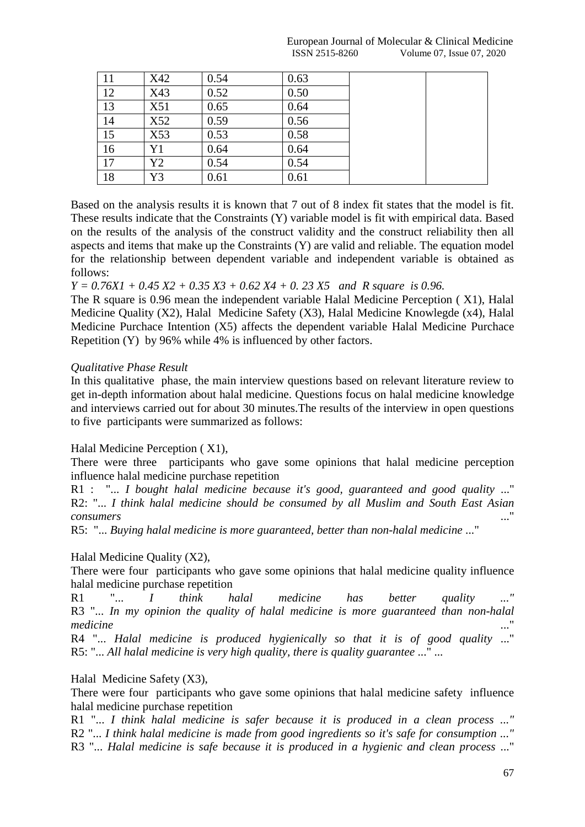| 11 | X42 | 0.54 | 0.63 |  |
|----|-----|------|------|--|
| 12 | X43 | 0.52 | 0.50 |  |
| 13 | X51 | 0.65 | 0.64 |  |
| 14 | X52 | 0.59 | 0.56 |  |
| 15 | X53 | 0.53 | 0.58 |  |
| 16 | Y1  | 0.64 | 0.64 |  |
| 17 | Y2  | 0.54 | 0.54 |  |
| 18 | Y3  | 0.61 | 0.61 |  |

Based on the analysis results it is known that 7 out of 8 index fit states that the model is fit. These results indicate that the Constraints (Y) variable model is fit with empirical data. Based on the results of the analysis of the construct validity and the construct reliability then all aspects and items that make up the Constraints (Y) are valid and reliable. The equation model for the relationship between dependent variable and independent variable is obtained as follows:

*Y = 0.76X1 + 0.45 X2 + 0.35 X3 + 0.62 X4 + 0. 23 X5 and R square is 0.96.*

The R square is 0.96 mean the independent variable Halal Medicine Perception ( X1), Halal Medicine Quality (X2), Halal Medicine Safety (X3), Halal Medicine Knowlegde (x4), Halal Medicine Purchace Intention (X5) affects the dependent variable Halal Medicine Purchace Repetition (Y) by 96% while 4% is influenced by other factors.

## *Qualitative Phase Result*

In this qualitative phase, the main interview questions based on relevant literature review to get in-depth information about halal medicine. Questions focus on halal medicine knowledge and interviews carried out for about 30 minutes.The results of the interview in open questions to five participants were summarized as follows:

# Halal Medicine Perception ( X1),

There were three participants who gave some opinions that halal medicine perception influence halal medicine purchase repetition

R1 : "... *I bought halal medicine because it's good, guaranteed and good quality* ..." R2: "... *I think halal medicine should be consumed by all Muslim and South East Asian consumers* ..."

R5: "... *Buying halal medicine is more guaranteed, better than non-halal medicine* ..."

Halal Medicine Quality (X2),

There were four participants who gave some opinions that halal medicine quality influence halal medicine purchase repetition

R1 "... *I think halal medicine has better quality ..."* R3 "... *In my opinion the quality of halal medicine is more guaranteed than non-halal medicine* ..."

R4 "... *Halal medicine is produced hygienically so that it is of good quality* ..." R5: "... *All halal medicine is very high quality, there is quality guarantee* ..." ...

Halal Medicine Safety (X3),

There were four participants who gave some opinions that halal medicine safety influence halal medicine purchase repetition

R1 "... *I think halal medicine is safer because it is produced in a clean process ..."* R2 "... *I think halal medicine is made from good ingredients so it's safe for consumption ..."* R3 "... *Halal medicine is safe because it is produced in a hygienic and clean process* ..."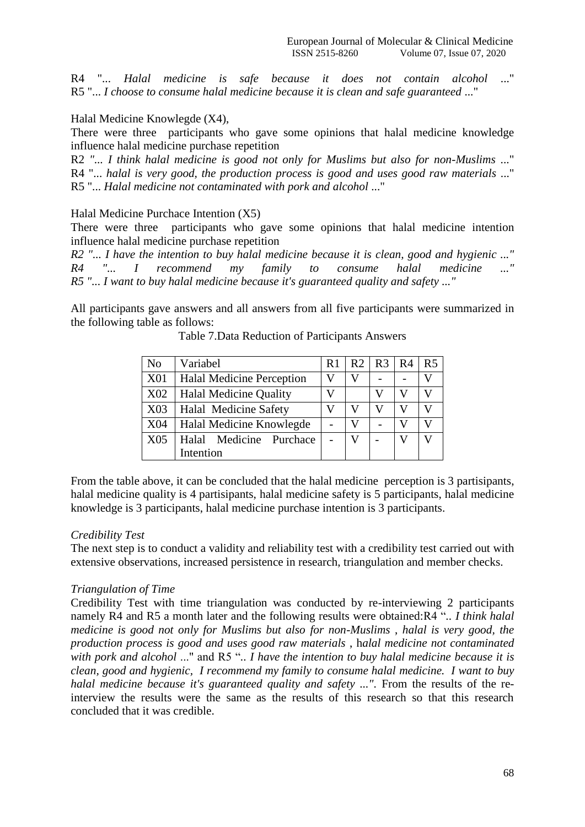R4 "... *Halal medicine is safe because it does not contain alcohol* ..." R5 "... *I choose to consume halal medicine because it is clean and safe guaranteed* ..."

#### Halal Medicine Knowlegde (X4),

There were three participants who gave some opinions that halal medicine knowledge influence halal medicine purchase repetition

R2 *"... I think halal medicine is good not only for Muslims but also for non-Muslims* ..." R4 "... *halal is very good, the production process is good and uses good raw materials* ..." R5 "... *Halal medicine not contaminated with pork and alcohol* ..."

Halal Medicine Purchace Intention (X5)

There were three participants who gave some opinions that halal medicine intention influence halal medicine purchase repetition

*R2 "... I have the intention to buy halal medicine because it is clean, good and hygienic ..." R4 "... I recommend my family to consume halal medicine ..." R5 "... I want to buy halal medicine because it's guaranteed quality and safety ..."*

All participants gave answers and all answers from all five participants were summarized in the following table as follows:

| N <sub>0</sub> | Variabel                         |  | R2 | $R3 \mid R4$ | R <sub>5</sub> |
|----------------|----------------------------------|--|----|--------------|----------------|
| <b>X01</b>     | <b>Halal Medicine Perception</b> |  |    |              |                |
| X02            | <b>Halal Medicine Quality</b>    |  |    |              |                |
| X03            | <b>Halal Medicine Safety</b>     |  |    |              |                |
| X04            | Halal Medicine Knowlegde         |  |    |              |                |
| X05            | Halal Medicine Purchace          |  |    |              |                |
|                | Intention                        |  |    |              |                |

Table 7.Data Reduction of Participants Answers

From the table above, it can be concluded that the halal medicine perception is 3 partisipants, halal medicine quality is 4 partisipants, halal medicine safety is 5 participants, halal medicine knowledge is 3 participants, halal medicine purchase intention is 3 participants.

#### *Credibility Test*

The next step is to conduct a validity and reliability test with a credibility test carried out with extensive observations, increased persistence in research, triangulation and member checks.

#### *Triangulation of Time*

Credibility Test with time triangulation was conducted by re-interviewing 2 participants namely R4 and R5 a month later and the following results were obtained:R4 "*.. I think halal medicine is good not only for Muslims but also for non-Muslims* , *halal is very good, the production process is good and uses good raw materials* , h*alal medicine not contaminated with pork and alcohol* ..." and R5 "*.. I have the intention to buy halal medicine because it is clean, good and hygienic, I recommend my family to consume halal medicine. I want to buy halal medicine because it's guaranteed quality and safety ...".* From the results of the reinterview the results were the same as the results of this research so that this research concluded that it was credible.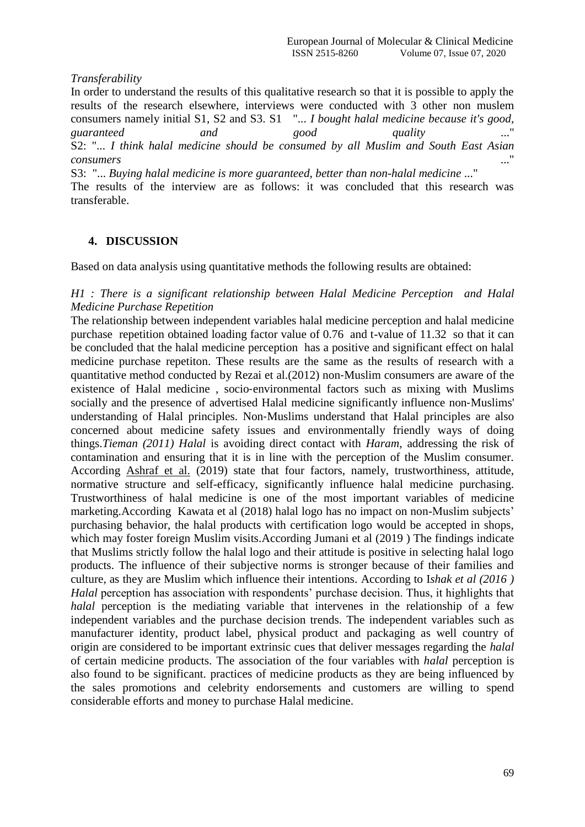## *Transferability*

In order to understand the results of this qualitative research so that it is possible to apply the results of the research elsewhere, interviews were conducted with 3 other non muslem consumers namely initial S1, S2 and S3. S1 "... *I bought halal medicine because it's good, guaranteed and good quality* ..." S2: "... *I think halal medicine should be consumed by all Muslim and South East Asian consumers* ..."

S3: "... *Buying halal medicine is more guaranteed, better than non-halal medicine* ..."

The results of the interview are as follows: it was concluded that this research was transferable.

# **4. DISCUSSION**

Based on data analysis using quantitative methods the following results are obtained:

## *H1 : There is a significant relationship between Halal Medicine Perception and Halal Medicine Purchase Repetition*

The relationship between independent variables halal medicine perception and halal medicine purchase repetition obtained loading factor value of 0.76 and t-value of 11.32 so that it can be concluded that the halal medicine perception has a positive and significant effect on halal medicine purchase repetiton. These results are the same as the results of research with a quantitative method conducted by Rezai et al.(2012) non‐Muslim consumers are aware of the existence of Halal medicine , socio‐environmental factors such as mixing with Muslims socially and the presence of advertised Halal medicine significantly influence non-Muslims' understanding of Halal principles. Non-Muslims understand that Halal principles are also concerned about medicine safety issues and environmentally friendly ways of doing things.*Tieman (2011) Halal* is avoiding direct contact with *Haram*, addressing the risk of contamination and ensuring that it is in line with the perception of the Muslim consumer. According [Ashraf](https://www.emerald.com/insight/search?q=Mohammad%20Ali%20Ashraf) et al. (2019) state that four factors, namely, trustworthiness, attitude, normative structure and self-efficacy, significantly influence halal medicine purchasing. Trustworthiness of halal medicine is one of the most important variables of medicine marketing.According Kawata et al (2018) halal logo has no impact on non-Muslim subjects' purchasing behavior, the halal products with certification logo would be accepted in shops, which may foster foreign Muslim visits.According Jumani et al (2019 ) The findings indicate that Muslims strictly follow the halal logo and their attitude is positive in selecting halal logo products. The influence of their subjective norms is stronger because of their families and culture, as they are Muslim which influence their intentions. According to I*shak et al (2016 ) Halal* perception has association with respondents' purchase decision. Thus, it highlights that *halal* perception is the mediating variable that intervenes in the relationship of a few independent variables and the purchase decision trends. The independent variables such as manufacturer identity, product label, physical product and packaging as well country of origin are considered to be important extrinsic cues that deliver messages regarding the *halal* of certain medicine products. The association of the four variables with *halal* perception is also found to be significant. practices of medicine products as they are being influenced by the sales promotions and celebrity endorsements and customers are willing to spend considerable efforts and money to purchase Halal medicine.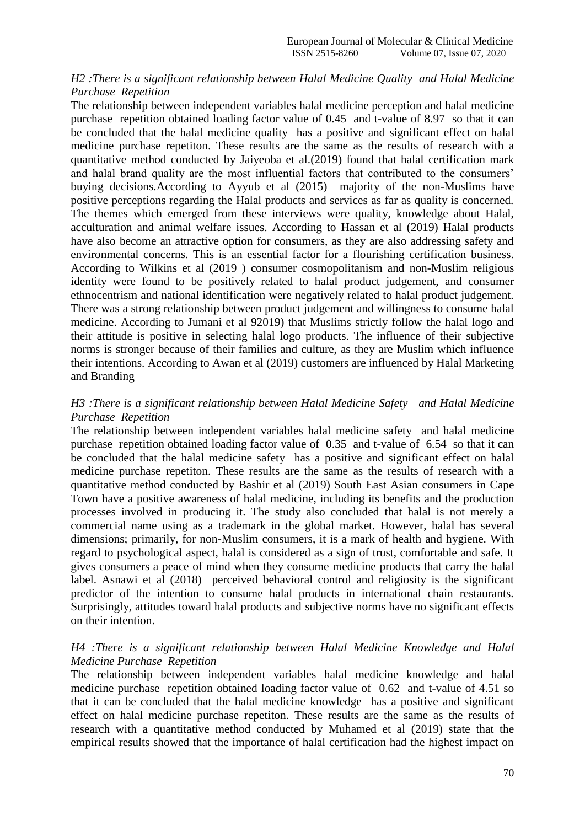#### *H2 :There is a significant relationship between Halal Medicine Quality and Halal Medicine Purchase Repetition*

The relationship between independent variables halal medicine perception and halal medicine purchase repetition obtained loading factor value of 0.45 and t-value of 8.97 so that it can be concluded that the halal medicine quality has a positive and significant effect on halal medicine purchase repetiton. These results are the same as the results of research with a quantitative method conducted by Jaiyeoba et al.(2019) found that halal certification mark and halal brand quality are the most influential factors that contributed to the consumers' buying decisions.According to Ayyub et al (2015) majority of the non-Muslims have positive perceptions regarding the Halal products and services as far as quality is concerned. The themes which emerged from these interviews were quality, knowledge about Halal, acculturation and animal welfare issues. According to Hassan et al (2019) Halal products have also become an attractive option for consumers, as they are also addressing safety and environmental concerns. This is an essential factor for a flourishing certification business. According to Wilkins et al (2019 ) consumer cosmopolitanism and non-Muslim religious identity were found to be positively related to halal product judgement, and consumer ethnocentrism and national identification were negatively related to halal product judgement. There was a strong relationship between product judgement and willingness to consume halal medicine. According to Jumani et al 92019) that Muslims strictly follow the halal logo and their attitude is positive in selecting halal logo products. The influence of their subjective norms is stronger because of their families and culture, as they are Muslim which influence their intentions. According to Awan et al (2019) customers are influenced by Halal Marketing and Branding

## *H3 :There is a significant relationship between Halal Medicine Safety and Halal Medicine Purchase Repetition*

The relationship between independent variables halal medicine safety and halal medicine purchase repetition obtained loading factor value of 0.35 and t-value of 6.54 so that it can be concluded that the halal medicine safety has a positive and significant effect on halal medicine purchase repetiton. These results are the same as the results of research with a quantitative method conducted by Bashir et al (2019) South East Asian consumers in Cape Town have a positive awareness of halal medicine, including its benefits and the production processes involved in producing it. The study also concluded that halal is not merely a commercial name using as a trademark in the global market. However, halal has several dimensions; primarily, for non-Muslim consumers, it is a mark of health and hygiene. With regard to psychological aspect, halal is considered as a sign of trust, comfortable and safe. It gives consumers a peace of mind when they consume medicine products that carry the halal label. Asnawi et al (2018) perceived behavioral control and religiosity is the significant predictor of the intention to consume halal products in international chain restaurants. Surprisingly, attitudes toward halal products and subjective norms have no significant effects on their intention.

#### *H4 :There is a significant relationship between Halal Medicine Knowledge and Halal Medicine Purchase Repetition*

The relationship between independent variables halal medicine knowledge and halal medicine purchase repetition obtained loading factor value of 0.62 and t-value of 4.51 so that it can be concluded that the halal medicine knowledge has a positive and significant effect on halal medicine purchase repetiton. These results are the same as the results of research with a quantitative method conducted by Muhamed et al (2019) state that the empirical results showed that the importance of halal certification had the highest impact on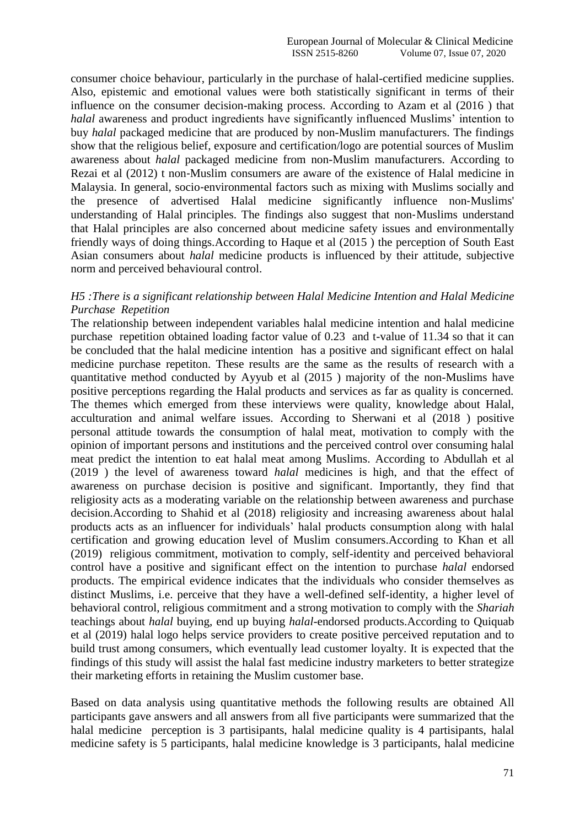consumer choice behaviour, particularly in the purchase of halal-certified medicine supplies. Also, epistemic and emotional values were both statistically significant in terms of their influence on the consumer decision-making process. According to Azam et al (2016 ) that *halal* awareness and product ingredients have significantly influenced Muslims' intention to buy *halal* packaged medicine that are produced by non-Muslim manufacturers. The findings show that the religious belief, exposure and certification/logo are potential sources of Muslim awareness about *halal* packaged medicine from non-Muslim manufacturers. According to Rezai et al (2012) t non‐Muslim consumers are aware of the existence of Halal medicine in Malaysia. In general, socio‐environmental factors such as mixing with Muslims socially and the presence of advertised Halal medicine significantly influence non‐Muslims' understanding of Halal principles. The findings also suggest that non‐Muslims understand that Halal principles are also concerned about medicine safety issues and environmentally friendly ways of doing things.According to Haque et al (2015 ) the perception of South East Asian consumers about *halal* medicine products is influenced by their attitude, subjective norm and perceived behavioural control.

# *H5 :There is a significant relationship between Halal Medicine Intention and Halal Medicine Purchase Repetition*

The relationship between independent variables halal medicine intention and halal medicine purchase repetition obtained loading factor value of 0.23 and t-value of 11.34 so that it can be concluded that the halal medicine intention has a positive and significant effect on halal medicine purchase repetiton. These results are the same as the results of research with a quantitative method conducted by Ayyub et al (2015 ) majority of the non-Muslims have positive perceptions regarding the Halal products and services as far as quality is concerned. The themes which emerged from these interviews were quality, knowledge about Halal, acculturation and animal welfare issues. According to Sherwani et al (2018 ) positive personal attitude towards the consumption of halal meat, motivation to comply with the opinion of important persons and institutions and the perceived control over consuming halal meat predict the intention to eat halal meat among Muslims. According to Abdullah et al (2019 ) the level of awareness toward *halal* medicines is high, and that the effect of awareness on purchase decision is positive and significant. Importantly, they find that religiosity acts as a moderating variable on the relationship between awareness and purchase decision.According to Shahid et al (2018) religiosity and increasing awareness about halal products acts as an influencer for individuals' halal products consumption along with halal certification and growing education level of Muslim consumers.According to Khan et all (2019) religious commitment, motivation to comply, self-identity and perceived behavioral control have a positive and significant effect on the intention to purchase *halal* endorsed products. The empirical evidence indicates that the individuals who consider themselves as distinct Muslims, i.e. perceive that they have a well-defined self-identity, a higher level of behavioral control, religious commitment and a strong motivation to comply with the *Shariah* teachings about *halal* buying, end up buying *halal*-endorsed products.According to Quiquab et al (2019) halal logo helps service providers to create positive perceived reputation and to build trust among consumers, which eventually lead customer loyalty. It is expected that the findings of this study will assist the halal fast medicine industry marketers to better strategize their marketing efforts in retaining the Muslim customer base.

Based on data analysis using quantitative methods the following results are obtained All participants gave answers and all answers from all five participants were summarized that the halal medicine perception is 3 partisipants, halal medicine quality is 4 partisipants, halal medicine safety is 5 participants, halal medicine knowledge is 3 participants, halal medicine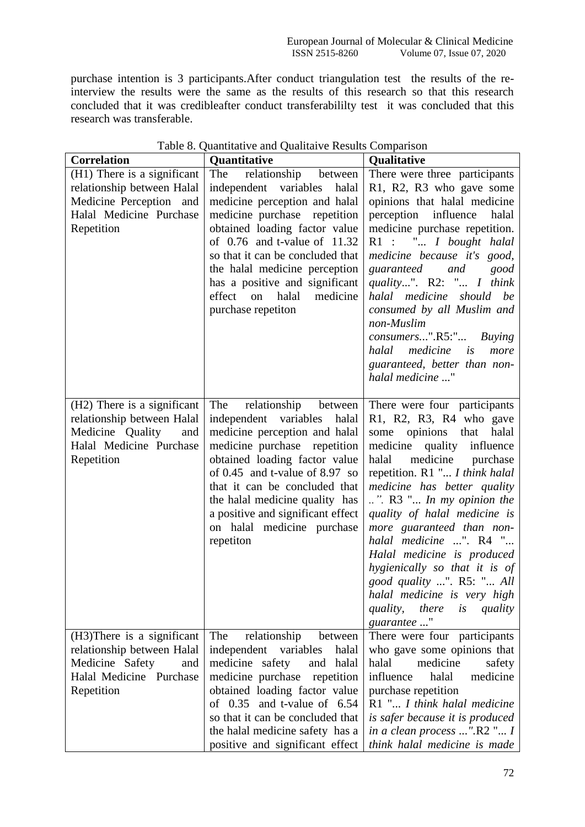purchase intention is 3 participants.After conduct triangulation test the results of the reinterview the results were the same as the results of this research so that this research concluded that it was credibleafter conduct transferabililty test it was concluded that this research was transferable.

| <b>Correlation</b>                                                                                                            | Quantitative                                                                                                                                                                                                                                                                                                                                         | <b>Qualitative</b>                                                                                                                                                                                                                                                                                                                                                                                                                                                                                                                        |
|-------------------------------------------------------------------------------------------------------------------------------|------------------------------------------------------------------------------------------------------------------------------------------------------------------------------------------------------------------------------------------------------------------------------------------------------------------------------------------------------|-------------------------------------------------------------------------------------------------------------------------------------------------------------------------------------------------------------------------------------------------------------------------------------------------------------------------------------------------------------------------------------------------------------------------------------------------------------------------------------------------------------------------------------------|
| (H1) There is a significant                                                                                                   | The relationship between                                                                                                                                                                                                                                                                                                                             | There were three participants                                                                                                                                                                                                                                                                                                                                                                                                                                                                                                             |
| relationship between Halal                                                                                                    | independent variables<br>halal                                                                                                                                                                                                                                                                                                                       | R1, R2, R3 who gave some                                                                                                                                                                                                                                                                                                                                                                                                                                                                                                                  |
| Medicine Perception and                                                                                                       | medicine perception and halal                                                                                                                                                                                                                                                                                                                        | opinions that halal medicine                                                                                                                                                                                                                                                                                                                                                                                                                                                                                                              |
| Halal Medicine Purchase                                                                                                       | medicine purchase repetition                                                                                                                                                                                                                                                                                                                         | perception influence<br>halal                                                                                                                                                                                                                                                                                                                                                                                                                                                                                                             |
| Repetition                                                                                                                    | obtained loading factor value<br>of $0.76$ and t-value of $11.32$<br>so that it can be concluded that<br>the halal medicine perception<br>has a positive and significant<br>effect on<br>halal<br>medicine<br>purchase repetiton                                                                                                                     | medicine purchase repetition.<br>R1 : " I bought halal<br>medicine because it's good,<br>guaranteed and<br>good<br>quality". R2: " I think<br>halal medicine should be<br>consumed by all Muslim and<br>non-Muslim<br>consumers".R5:" Buying<br>halal medicine is<br>more<br>guaranteed, better than non-<br>halal medicine "                                                                                                                                                                                                             |
| (H2) There is a significant<br>relationship between Halal<br>Medicine Quality<br>and<br>Halal Medicine Purchase<br>Repetition | The<br>relationship between<br>independent variables<br>halal<br>medicine perception and halal<br>medicine purchase repetition<br>obtained loading factor value<br>of 0.45 and t-value of 8.97 so<br>that it can be concluded that<br>the halal medicine quality has<br>a positive and significant effect<br>on halal medicine purchase<br>repetiton | There were four participants<br>R1, R2, R3, R4 who gave<br>some opinions that<br>halal<br>medicine quality influence<br>halal<br>medicine purchase<br>repetition. R1 " I think halal<br>medicine has better quality<br>$\ldots$ ". R3 " $\ldots$ In my opinion the<br>quality of halal medicine is<br>more guaranteed than non-<br>halal medicine ". R4 "<br>Halal medicine is produced<br>hygienically so that it is of<br>good quality ". R5: " All<br>halal medicine is very high<br>there<br>quality,<br>is<br>quality<br>guarantee " |
| (H3) There is a significant                                                                                                   | The<br>relationship<br>between                                                                                                                                                                                                                                                                                                                       | There were four participants                                                                                                                                                                                                                                                                                                                                                                                                                                                                                                              |
| relationship between Halal                                                                                                    | independent variables<br>halal                                                                                                                                                                                                                                                                                                                       | who gave some opinions that                                                                                                                                                                                                                                                                                                                                                                                                                                                                                                               |
| Medicine Safety<br>and                                                                                                        | medicine safety<br>and<br>halal                                                                                                                                                                                                                                                                                                                      | medicine<br>halal<br>safety                                                                                                                                                                                                                                                                                                                                                                                                                                                                                                               |
| Halal Medicine Purchase                                                                                                       | medicine purchase<br>repetition                                                                                                                                                                                                                                                                                                                      | influence<br>halal<br>medicine                                                                                                                                                                                                                                                                                                                                                                                                                                                                                                            |
| Repetition                                                                                                                    | obtained loading factor value                                                                                                                                                                                                                                                                                                                        | purchase repetition                                                                                                                                                                                                                                                                                                                                                                                                                                                                                                                       |
|                                                                                                                               | of $0.35$ and t-value of $6.54$                                                                                                                                                                                                                                                                                                                      | R1 " I think halal medicine                                                                                                                                                                                                                                                                                                                                                                                                                                                                                                               |
|                                                                                                                               | so that it can be concluded that                                                                                                                                                                                                                                                                                                                     | is safer because it is produced                                                                                                                                                                                                                                                                                                                                                                                                                                                                                                           |
|                                                                                                                               | the halal medicine safety has a<br>positive and significant effect                                                                                                                                                                                                                                                                                   | in a clean process ".R2 " I<br>think halal medicine is made                                                                                                                                                                                                                                                                                                                                                                                                                                                                               |

# Table 8. Quantitative and Qualitaive Results Comparison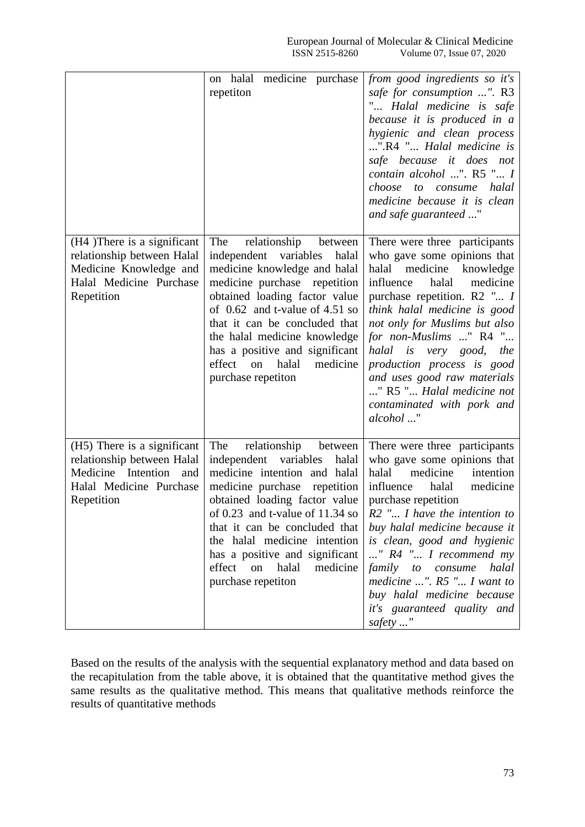|                                                                                                                                 | on halal medicine purchase<br>repetiton                                                                                                                                                                                                                                                                                                                                | from good ingredients so it's<br>safe for consumption ". R3<br>" Halal medicine is safe<br>because it is produced in a<br>hygienic and clean process<br>".R4 " Halal medicine is<br>safe because it does not<br>contain alcohol ". R5 " I<br>choose<br>halal<br>to consume<br>medicine because it is clean<br>and safe guaranteed "                                                                                       |
|---------------------------------------------------------------------------------------------------------------------------------|------------------------------------------------------------------------------------------------------------------------------------------------------------------------------------------------------------------------------------------------------------------------------------------------------------------------------------------------------------------------|---------------------------------------------------------------------------------------------------------------------------------------------------------------------------------------------------------------------------------------------------------------------------------------------------------------------------------------------------------------------------------------------------------------------------|
| (H4) There is a significant<br>relationship between Halal<br>Medicine Knowledge and<br>Halal Medicine Purchase<br>Repetition    | The<br>relationship<br>between<br>independent variables<br>halal<br>medicine knowledge and halal<br>medicine purchase<br>repetition<br>obtained loading factor value<br>of $0.62$ and t-value of 4.51 so<br>that it can be concluded that<br>the halal medicine knowledge<br>has a positive and significant<br>effect<br>medicine<br>halal<br>on<br>purchase repetiton | There were three participants<br>who gave some opinions that<br>medicine knowledge<br>halal<br>influence<br>medicine<br>halal<br>purchase repetition. R2 " I<br>think halal medicine is good<br>not only for Muslims but also<br>for non-Muslims " R4 "<br>halal is very good, the<br>production process is good<br>and uses good raw materials<br>" R5 " Halal medicine not<br>contaminated with pork and<br>alcohol "   |
| (H5) There is a significant<br>relationship between Halal<br>Medicine Intention<br>and<br>Halal Medicine Purchase<br>Repetition | The<br>relationship<br>between<br>independent<br>variables<br>halal<br>medicine intention and halal<br>medicine purchase<br>repetition<br>obtained loading factor value<br>of $0.23$ and t-value of $11.34$ so<br>that it can be concluded that<br>the halal medicine intention<br>has a positive and significant<br>effect on halal<br>medicine<br>purchase repetiton | There were three participants<br>who gave some opinions that<br>medicine<br>halal<br>intention<br>influence<br>halal<br>medicine<br>purchase repetition<br>$R2$ " I have the intention to<br>buy halal medicine because it<br>is clean, good and hygienic<br>" R4 " I recommend my<br>family to consume<br>halal<br>medicine ". $R5$ " I want to<br>buy halal medicine because<br>it's guaranteed quality and<br>safety " |

Based on the results of the analysis with the sequential explanatory method and data based on the recapitulation from the table above, it is obtained that the quantitative method gives the same results as the qualitative method. This means that qualitative methods reinforce the results of quantitative methods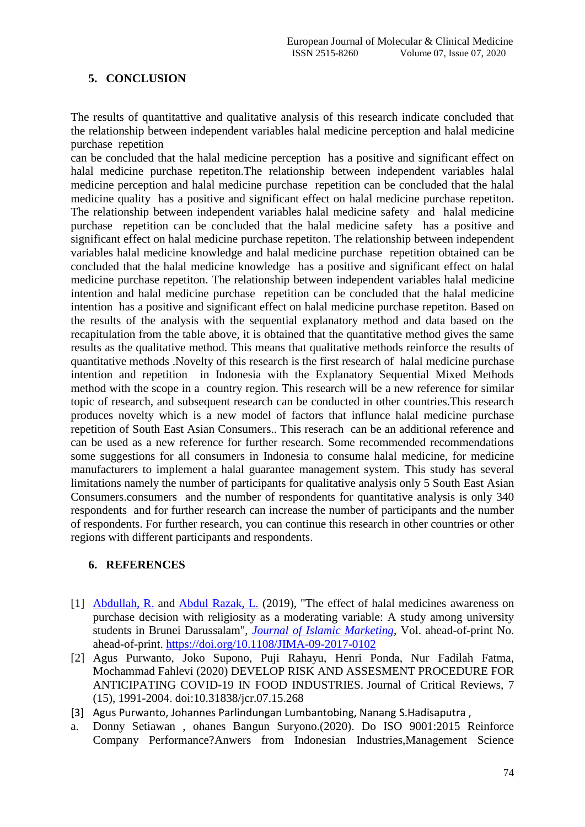# **5. CONCLUSION**

The results of quantitattive and qualitative analysis of this research indicate concluded that the relationship between independent variables halal medicine perception and halal medicine purchase repetition

can be concluded that the halal medicine perception has a positive and significant effect on halal medicine purchase repetiton.The relationship between independent variables halal medicine perception and halal medicine purchase repetition can be concluded that the halal medicine quality has a positive and significant effect on halal medicine purchase repetiton. The relationship between independent variables halal medicine safety and halal medicine purchase repetition can be concluded that the halal medicine safety has a positive and significant effect on halal medicine purchase repetiton. The relationship between independent variables halal medicine knowledge and halal medicine purchase repetition obtained can be concluded that the halal medicine knowledge has a positive and significant effect on halal medicine purchase repetiton. The relationship between independent variables halal medicine intention and halal medicine purchase repetition can be concluded that the halal medicine intention has a positive and significant effect on halal medicine purchase repetiton. Based on the results of the analysis with the sequential explanatory method and data based on the recapitulation from the table above, it is obtained that the quantitative method gives the same results as the qualitative method. This means that qualitative methods reinforce the results of quantitative methods .Novelty of this research is the first research of halal medicine purchase intention and repetition in Indonesia with the Explanatory Sequential Mixed Methods method with the scope in a country region. This research will be a new reference for similar topic of research, and subsequent research can be conducted in other countries.This research produces novelty which is a new model of factors that influnce halal medicine purchase repetition of South East Asian Consumers.. This reserach can be an additional reference and can be used as a new reference for further research. Some recommended recommendations some suggestions for all consumers in Indonesia to consume halal medicine, for medicine manufacturers to implement a halal guarantee management system. This study has several limitations namely the number of participants for qualitative analysis only 5 South East Asian Consumers.consumers and the number of respondents for quantitative analysis is only 340 respondents and for further research can increase the number of participants and the number of respondents. For further research, you can continue this research in other countries or other regions with different participants and respondents.

# **6. REFERENCES**

- [1] [Abdullah, R.](https://www.emerald.com/insight/search?q=Rose%20Abdullah) and [Abdul Razak, L.](https://www.emerald.com/insight/search?q=Lutfi%20Abdul%20Razak) (2019), "The effect of halal medicines awareness on purchase decision with religiosity as a moderating variable: A study among university students in Brunei Darussalam", *[Journal of Islamic Marketing](https://www.emerald.com/insight/publication/issn/1759-0833)*, Vol. ahead-of-print No. ahead-of-print.<https://doi.org/10.1108/JIMA-09-2017-0102>
- [2] Agus Purwanto, Joko Supono, Puji Rahayu, Henri Ponda, Nur Fadilah Fatma, Mochammad Fahlevi (2020) DEVELOP RISK AND ASSESMENT PROCEDURE FOR ANTICIPATING COVID-19 IN FOOD INDUSTRIES. Journal of Critical Reviews, 7 (15), 1991-2004. doi:10.31838/jcr.07.15.268
- [3] Agus Purwanto, Johannes Parlindungan Lumbantobing, Nanang S.Hadisaputra ,
- a. Donny Setiawan , ohanes Bangun Suryono.(2020). Do ISO 9001:2015 Reinforce Company Performance?Anwers from Indonesian Industries,Management Science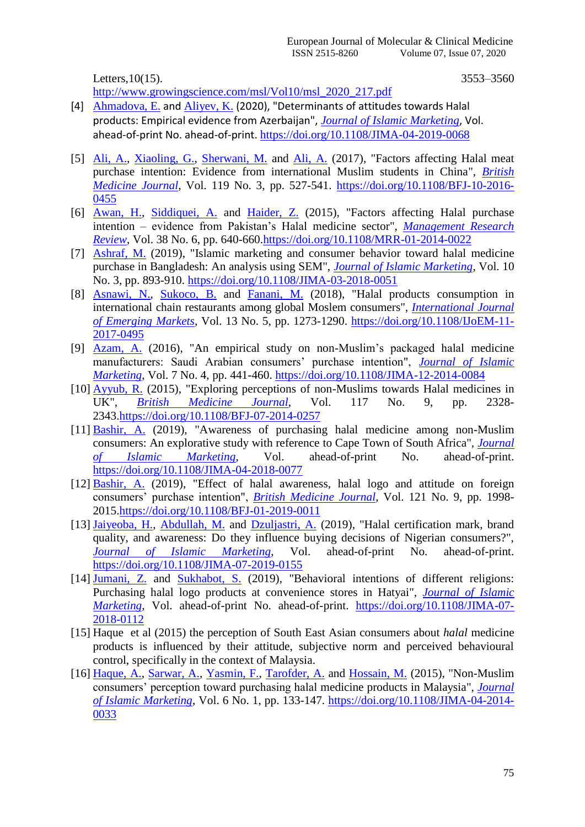Letters, 10(15). 3553–3560

[http://www.growingscience.com/msl/Vol10/msl\\_2020\\_217.pdf](http://www.growingscience.com/msl/Vol10/msl_2020_217.pdf)

- [4] [Ahmadova, E.](https://www.emerald.com/insight/search?q=Emiliya%20Ahmadova) and [Aliyev, K.](https://www.emerald.com/insight/search?q=Khatai%20Aliyev) (2020), "Determinants of attitudes towards Halal products: Empirical evidence from Azerbaijan", *[Journal of Islamic Marketing](https://www.emerald.com/insight/publication/issn/1759-0833)*, Vol. ahead-of-print No. ahead-of-print. <https://doi.org/10.1108/JIMA-04-2019-0068>
- [5] [Ali, A.,](https://www.emerald.com/insight/search?q=Afzaal%20Ali) [Xiaoling, G.,](https://www.emerald.com/insight/search?q=Guo%20Xiaoling) [Sherwani, M.](https://www.emerald.com/insight/search?q=Mehkar%20Sherwani) and [Ali, A.](https://www.emerald.com/insight/search?q=Adnan%20Ali) (2017), "Factors affecting Halal meat purchase intention: Evidence from international Muslim students in China", *[British](https://www.emerald.com/insight/publication/issn/0007-070X)  [Medicine](https://www.emerald.com/insight/publication/issn/0007-070X) Journal*, Vol. 119 No. 3, pp. 527-541. [https://doi.org/10.1108/BFJ-10-2016-](https://doi.org/10.1108/BFJ-10-2016-0455) [0455](https://doi.org/10.1108/BFJ-10-2016-0455)
- [6] [Awan, H.,](https://www.emerald.com/insight/search?q=Hayat%20M.%20Awan) [Siddiquei,](https://www.emerald.com/insight/search?q=Ahmad%20Nabeel%20%20Siddiquei) A. and [Haider, Z.](https://www.emerald.com/insight/search?q=Zeeshan%20Haider) (2015), "Factors affecting Halal purchase intention – evidence from Pakistan's Halal medicine sector", *[Management Research](https://www.emerald.com/insight/publication/issn/2040-8269)  [Review](https://www.emerald.com/insight/publication/issn/2040-8269)*, Vol. 38 No. 6, pp. 640-660[.https://doi.org/10.1108/MRR-01-2014-0022](https://doi.org/10.1108/MRR-01-2014-0022)
- [7] [Ashraf, M.](https://www.emerald.com/insight/search?q=Mohammad%20Ali%20Ashraf) (2019), "Islamic marketing and consumer behavior toward halal medicine purchase in Bangladesh: An analysis using SEM", *[Journal of Islamic Marketing](https://www.emerald.com/insight/publication/issn/1759-0833)*, Vol. 10 No. 3, pp. 893-910.<https://doi.org/10.1108/JIMA-03-2018-0051>
- [8] [Asnawi, N.,](https://www.emerald.com/insight/search?q=Nur%20Asnawi) [Sukoco, B.](https://www.emerald.com/insight/search?q=Badri%20Munir%20Sukoco) and [Fanani, M.](https://www.emerald.com/insight/search?q=Muhammad%20Asnan%20Fanani) (2018), "Halal products consumption in international chain restaurants among global Moslem consumers", *[International Journal](https://www.emerald.com/insight/publication/issn/1746-8809)  [of Emerging Markets](https://www.emerald.com/insight/publication/issn/1746-8809)*, Vol. 13 No. 5, pp. 1273-1290. [https://doi.org/10.1108/IJoEM-11-](https://doi.org/10.1108/IJoEM-11-2017-0495) [2017-0495](https://doi.org/10.1108/IJoEM-11-2017-0495)
- [9] [Azam, A.](https://www.emerald.com/insight/search?q=Afshan%20Azam) (2016), "An empirical study on non-Muslim's packaged halal medicine manufacturers: Saudi Arabian consumers' purchase intention", *[Journal of Islamic](https://www.emerald.com/insight/publication/issn/1759-0833)  [Marketing](https://www.emerald.com/insight/publication/issn/1759-0833)*, Vol. 7 No. 4, pp. 441-460.<https://doi.org/10.1108/JIMA-12-2014-0084>
- [10] [Ayyub, R.](https://www.emerald.com/insight/search?q=Rana%20Muhammad%20Ayyub) (2015), "Exploring perceptions of non-Muslims towards Halal medicines in UK", *[British Medicine](https://www.emerald.com/insight/publication/issn/0007-070X) Journal*, Vol. 117 No. 9, pp. 2328- 2343[.https://doi.org/10.1108/BFJ-07-2014-0257](https://doi.org/10.1108/BFJ-07-2014-0257)
- [11] [Bashir, A.](https://www.emerald.com/insight/search?q=Abdalla%20Mohamed%20Bashir) (2019), "Awareness of purchasing halal medicine among non-Muslim consumers: An explorative study with reference to Cape Town of South Africa", *[Journal](https://www.emerald.com/insight/publication/issn/1759-0833)  [of Islamic Marketing](https://www.emerald.com/insight/publication/issn/1759-0833)*, Vol. ahead-of-print No. ahead-of-print. <https://doi.org/10.1108/JIMA-04-2018-0077>
- [12] [Bashir, A.](https://www.emerald.com/insight/search?q=Abdalla%20Mohamed%20Bashir) (2019), "Effect of halal awareness, halal logo and attitude on foreign consumers' purchase intention", *[British Medicine](https://www.emerald.com/insight/publication/issn/0007-070X) Journal*, Vol. 121 No. 9, pp. 1998- 2015[.https://doi.org/10.1108/BFJ-01-2019-0011](https://doi.org/10.1108/BFJ-01-2019-0011)
- [13] [Jaiyeoba, H.,](https://www.emerald.com/insight/search?q=Haruna%20Babatunde%20Jaiyeoba) [Abdullah, M.](https://www.emerald.com/insight/search?q=Moha%20Asri%20Abdullah) and [Dzuljastri, A.](https://www.emerald.com/insight/search?q=Abdul%20Razak%20Dzuljastri) (2019), "Halal certification mark, brand quality, and awareness: Do they influence buying decisions of Nigerian consumers?", *[Journal of Islamic Marketing](https://www.emerald.com/insight/publication/issn/1759-0833)*, Vol. ahead-of-print No. ahead-of-print. <https://doi.org/10.1108/JIMA-07-2019-0155>
- [14] [Jumani, Z.](https://www.emerald.com/insight/search?q=Zulfiqar%20Ali%20Jumani) and [Sukhabot, S.](https://www.emerald.com/insight/search?q=Sasiwemon%20Sukhabot) (2019), "Behavioral intentions of different religions: Purchasing halal logo products at convenience stores in Hatyai", *[Journal of Islamic](https://www.emerald.com/insight/publication/issn/1759-0833)  [Marketing](https://www.emerald.com/insight/publication/issn/1759-0833)*, Vol. ahead-of-print No. ahead-of-print. [https://doi.org/10.1108/JIMA-07-](https://doi.org/10.1108/JIMA-07-2018-0112) [2018-0112](https://doi.org/10.1108/JIMA-07-2018-0112)
- [15] Haque et al (2015) the perception of South East Asian consumers about *halal* medicine products is influenced by their attitude, subjective norm and perceived behavioural control, specifically in the context of Malaysia.
- [16] [Haque, A.,](https://www.emerald.com/insight/search?q=Ahasanul%20Haque) [Sarwar, A.,](https://www.emerald.com/insight/search?q=Abdullah%20Sarwar) [Yasmin, F.,](https://www.emerald.com/insight/search?q=Farzana%20Yasmin) [Tarofder, A.](https://www.emerald.com/insight/search?q=Arun%20Kumar%20Tarofder) and [Hossain, M.](https://www.emerald.com/insight/search?q=Mirza%20Ahsanul%20Hossain) (2015), "Non-Muslim consumers' perception toward purchasing halal medicine products in Malaysia", *[Journal](https://www.emerald.com/insight/publication/issn/1759-0833)  [of Islamic Marketing](https://www.emerald.com/insight/publication/issn/1759-0833)*, Vol. 6 No. 1, pp. 133-147. [https://doi.org/10.1108/JIMA-04-2014-](https://doi.org/10.1108/JIMA-04-2014-0033) [0033](https://doi.org/10.1108/JIMA-04-2014-0033)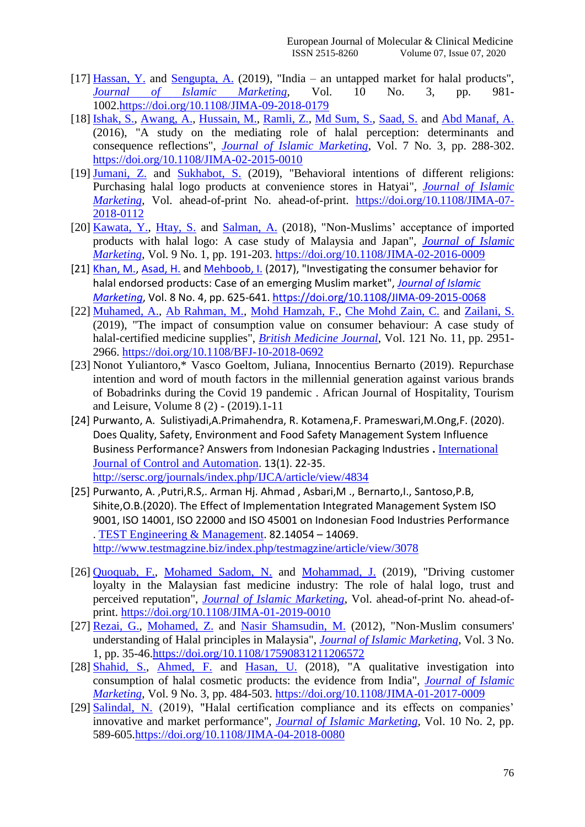- [17] [Hassan, Y.](https://www.emerald.com/insight/search?q=Yusuf%20Hassan) and [Sengupta, A.](https://www.emerald.com/insight/search?q=Anirban%20Sengupta) (2019), "India an untapped market for halal products", *[Journal of Islamic Marketing](https://www.emerald.com/insight/publication/issn/1759-0833)*, Vol. 10 No. 3, pp. 981- 1002[.https://doi.org/10.1108/JIMA-09-2018-0179](https://doi.org/10.1108/JIMA-09-2018-0179)
- [18] [Ishak, S.,](https://www.emerald.com/insight/search?q=Suraiya%20Ishak) [Awang, A.,](https://www.emerald.com/insight/search?q=Abd%20Hair%20Awang) [Hussain, M.,](https://www.emerald.com/insight/search?q=Mohd%20Yusof%20Hussain) [Ramli, Z.,](https://www.emerald.com/insight/search?q=Zaimah%20Ramli) [Md Sum, S.,](https://www.emerald.com/insight/search?q=Sarmila%20Md%20Sum) [Saad, S.](https://www.emerald.com/insight/search?q=Suhana%20Saad) and [Abd Manaf, A.](https://www.emerald.com/insight/search?q=Azima%20Abd%20Manaf) (2016), "A study on the mediating role of halal perception: determinants and consequence reflections", *[Journal of Islamic Marketing](https://www.emerald.com/insight/publication/issn/1759-0833)*, Vol. 7 No. 3, pp. 288-302. <https://doi.org/10.1108/JIMA-02-2015-0010>
- [19] [Jumani, Z.](https://www.emerald.com/insight/search?q=Zulfiqar%20Ali%20Jumani) and [Sukhabot, S.](https://www.emerald.com/insight/search?q=Sasiwemon%20Sukhabot) (2019), "Behavioral intentions of different religions: Purchasing halal logo products at convenience stores in Hatyai", *[Journal of Islamic](https://www.emerald.com/insight/publication/issn/1759-0833)  [Marketing](https://www.emerald.com/insight/publication/issn/1759-0833)*, Vol. ahead-of-print No. ahead-of-print. [https://doi.org/10.1108/JIMA-07-](https://doi.org/10.1108/JIMA-07-2018-0112) [2018-0112](https://doi.org/10.1108/JIMA-07-2018-0112)
- [20] [Kawata, Y.,](https://www.emerald.com/insight/search?q=Yukichika%20Kawata) [Htay, S.](https://www.emerald.com/insight/search?q=Sheila%20Nu%20Nu%20Htay) and [Salman, A.](https://www.emerald.com/insight/search?q=Ahmed%20%20Syed%20Salman) (2018), "Non-Muslims' acceptance of imported products with halal logo: A case study of Malaysia and Japan", *[Journal of Islamic](https://www.emerald.com/insight/publication/issn/1759-0833)  [Marketing](https://www.emerald.com/insight/publication/issn/1759-0833)*, Vol. 9 No. 1, pp. 191-203.<https://doi.org/10.1108/JIMA-02-2016-0009>
- [21] [Khan, M.,](https://www.emerald.com/insight/search?q=Mubbsher%20Munawar%20Khan) [Asad, H.](https://www.emerald.com/insight/search?q=Humaira%20Asad) and [Mehboob, I.](https://www.emerald.com/insight/search?q=Irsa%20Mehboob) (2017), "Investigating the consumer behavior for halal endorsed products: Case of an emerging Muslim market", *[Journal of Islamic](https://www.emerald.com/insight/publication/issn/1759-0833)  [Marketing](https://www.emerald.com/insight/publication/issn/1759-0833)*, Vol. 8 No. 4, pp. 625-641.<https://doi.org/10.1108/JIMA-09-2015-0068>
- [22] [Muhamed, A.,](https://www.emerald.com/insight/search?q=Ariff%20Azly%20Muhamed) [Ab Rahman, M.,](https://www.emerald.com/insight/search?q=Mohd%20Nizam%20Ab%20Rahman) [Mohd Hamzah, F.,](https://www.emerald.com/insight/search?q=Firdaus%20Mohd%20Hamzah) [Che Mohd Zain, C.](https://www.emerald.com/insight/search?q=Che%20Rosmawati%20Che%20Mohd%20Zain) and [Zailani, S.](https://www.emerald.com/insight/search?q=Suhaiza%20Zailani) (2019), "The impact of consumption value on consumer behaviour: A case study of halal-certified medicine supplies", *[British Medicine](https://www.emerald.com/insight/publication/issn/0007-070X) Journal*, Vol. 121 No. 11, pp. 2951- 2966.<https://doi.org/10.1108/BFJ-10-2018-0692>
- [23] Nonot Yuliantoro,\* Vasco Goeltom, Juliana, Innocentius Bernarto (2019). Repurchase intention and word of mouth factors in the millennial generation against various brands of Bobadrinks during the Covid 19 pandemic . African Journal of Hospitality, Tourism and Leisure, Volume 8 (2) - (2019).1-11
- [24] Purwanto, A. Sulistiyadi,A.Primahendra, R. Kotamena,F. Prameswari,M.Ong,F. (2020). Does Quality, Safety, Environment and Food Safety Management System Influence Business Performance? Answers from Indonesian Packaging Industries **.** [International](http://sersc.org/journals/index.php/IJCA/index)  [Journal of Control and Automation](http://sersc.org/journals/index.php/IJCA/index). 13(1). 22-35. <http://sersc.org/journals/index.php/IJCA/article/view/4834>
- [25] Purwanto, A. ,Putri,R.S,. Arman Hj. Ahmad , Asbari,M ., Bernarto,I., Santoso,P.B, Sihite,O.B.(2020). The Effect of Implementation Integrated Management System ISO 9001, ISO 14001, ISO 22000 and ISO 45001 on Indonesian Food Industries Performance . [TEST Engineering & Management](http://www.testmagzine.biz/index.php/index). 82.14054 – 14069. <http://www.testmagzine.biz/index.php/testmagzine/article/view/3078>
- [26] [Quoquab, F.,](https://www.emerald.com/insight/search?q=Farzana%20Quoquab) [Mohamed Sadom, N.](https://www.emerald.com/insight/search?q=Nur%20Zulaikha%20Mohamed%20Sadom) and [Mohammad, J.](https://www.emerald.com/insight/search?q=Jihad%20Mohammad) (2019), "Driving customer loyalty in the Malaysian fast medicine industry: The role of halal logo, trust and perceived reputation", *[Journal of Islamic Marketing](https://www.emerald.com/insight/publication/issn/1759-0833)*, Vol. ahead-of-print No. ahead-ofprint.<https://doi.org/10.1108/JIMA-01-2019-0010>
- [27] [Rezai, G.,](https://www.emerald.com/insight/search?q=Golnaz%20Rezai) [Mohamed, Z.](https://www.emerald.com/insight/search?q=Zainalabidin%20Mohamed) and [Nasir Shamsudin, M.](https://www.emerald.com/insight/search?q=Mad%20Nasir%20Shamsudin) (2012), "Non-Muslim consumers' understanding of Halal principles in Malaysia", *[Journal of Islamic Marketing](https://www.emerald.com/insight/publication/issn/1759-0833)*, Vol. 3 No. 1, pp. 35-46[.https://doi.org/10.1108/17590831211206572](https://doi.org/10.1108/17590831211206572)
- [28] [Shahid, S.,](https://www.emerald.com/insight/search?q=Shadma%20Shahid) [Ahmed, F.](https://www.emerald.com/insight/search?q=Faheem%20Ahmed) and [Hasan, U.](https://www.emerald.com/insight/search?q=Uzma%20Hasan) (2018), "A qualitative investigation into consumption of halal cosmetic products: the evidence from India", *[Journal of Islamic](https://www.emerald.com/insight/publication/issn/1759-0833)  [Marketing](https://www.emerald.com/insight/publication/issn/1759-0833)*, Vol. 9 No. 3, pp. 484-503.<https://doi.org/10.1108/JIMA-01-2017-0009>
- [29] [Salindal, N.](https://www.emerald.com/insight/search?q=Normia%20Akmad%20Salindal) (2019), "Halal certification compliance and its effects on companies' innovative and market performance", *[Journal of Islamic Marketing](https://www.emerald.com/insight/publication/issn/1759-0833)*, Vol. 10 No. 2, pp. 589-605[.https://doi.org/10.1108/JIMA-04-2018-0080](https://doi.org/10.1108/JIMA-04-2018-0080)